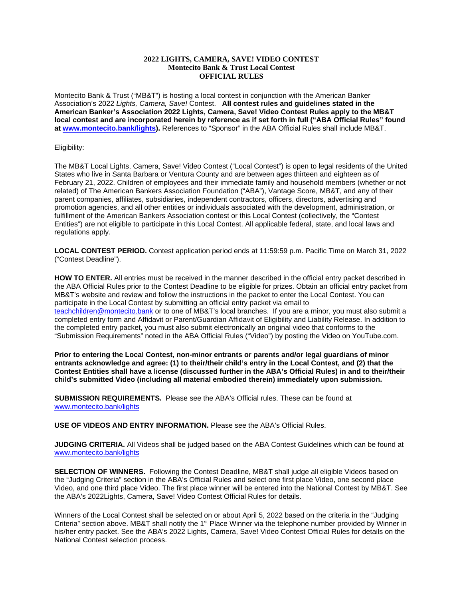## **2022 LIGHTS, CAMERA, SAVE! VIDEO CONTEST Montecito Bank & Trust Local Contest OFFICIAL RULES**

Montecito Bank & Trust ("MB&T") is hosting a local contest in conjunction with the American Banker Association's 2022 *Lights, Camera, Save!* Contest. **All contest rules and guidelines stated in the American Banker's Association 2022 Lights, Camera, Save! Video Contest Rules apply to the MB&T local contest and are incorporated herein by reference as if set forth in full ("ABA Official Rules" found at [www.montecito.bank/lights\)](http://www.montecito.bank/lights).** References to "Sponsor" in the ABA Official Rules shall include MB&T.

## Eligibility:

The MB&T Local Lights, Camera, Save! Video Contest ("Local Contest") is open to legal residents of the United States who live in Santa Barbara or Ventura County and are between ages thirteen and eighteen as of February 21, 2022. Children of employees and their immediate family and household members (whether or not related) of The American Bankers Association Foundation ("ABA"), Vantage Score, MB&T, and any of their parent companies, affiliates, subsidiaries, independent contractors, officers, directors, advertising and promotion agencies, and all other entities or individuals associated with the development, administration, or fulfillment of the American Bankers Association contest or this Local Contest (collectively, the "Contest Entities") are not eligible to participate in this Local Contest. All applicable federal, state, and local laws and regulations apply.

**LOCAL CONTEST PERIOD.** Contest application period ends at 11:59:59 p.m. Pacific Time on March 31, 2022 ("Contest Deadline").

**HOW TO ENTER.** All entries must be received in the manner described in the official entry packet described in the ABA Official Rules prior to the Contest Deadline to be eligible for prizes. Obtain an official entry packet from MB&T's website and review and follow the instructions in the packet to enter the Local Contest. You can participate in the Local Contest by submitting an official entry packet via email to [teachchildren@montecito.bank](mailto:teachchildren@montecito.bank) or to one of MB&T's local branches. If you are a minor, you must also submit a completed entry form and Affidavit or Parent/Guardian Affidavit of Eligibility and Liability Release. In addition to the completed entry packet, you must also submit electronically an original video that conforms to the "Submission Requirements" noted in the ABA Official Rules ("Video") by posting the Video on YouTube.com.

**Prior to entering the Local Contest, non-minor entrants or parents and/or legal guardians of minor entrants acknowledge and agree: (1) to their/their child's entry in the Local Contest, and (2) that the Contest Entities shall have a license (discussed further in the ABA's Official Rules) in and to their/their child's submitted Video (including all material embodied therein) immediately upon submission.** 

**SUBMISSION REQUIREMENTS.** Please see the ABA's Official rules. These can be found at [www.montecito.bank/lights](http://www.montecito.bank/lights)

**USE OF VIDEOS AND ENTRY INFORMATION.** Please see the ABA's Official Rules.

**JUDGING CRITERIA.** All Videos shall be judged based on the ABA Contest Guidelines which can be found at [www.montecito.bank/lights](http://www.montecito.bank/lights)

**SELECTION OF WINNERS.** Following the Contest Deadline, MB&T shall judge all eligible Videos based on the "Judging Criteria" section in the ABA's Official Rules and select one first place Video, one second place Video, and one third place Video. The first place winner will be entered into the National Contest by MB&T. See the ABA's 2022Lights, Camera, Save! Video Contest Official Rules for details.

Winners of the Local Contest shall be selected on or about April 5, 2022 based on the criteria in the "Judging Criteria" section above. MB&T shall notify the 1<sup>st</sup> Place Winner via the telephone number provided by Winner in his/her entry packet. See the ABA's 2022 Lights, Camera, Save! Video Contest Official Rules for details on the National Contest selection process.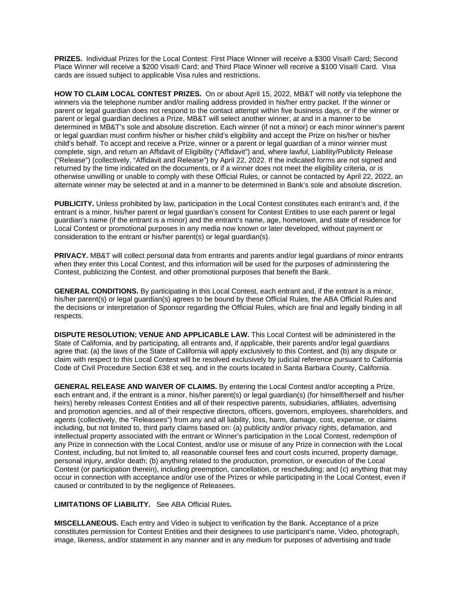**PRIZES.** Individual Prizes for the Local Contest: First Place Winner will receive a \$300 Visa® Card; Second Place Winner will receive a \$200 Visa® Card; and Third Place Winner will receive a \$100 Visa® Card. Visa cards are issued subject to applicable Visa rules and restrictions.

**HOW TO CLAIM LOCAL CONTEST PRIZES.** On or about April 15, 2022, MB&T will notify via telephone the winners via the telephone number and/or mailing address provided in his/her entry packet. If the winner or parent or legal guardian does not respond to the contact attempt within five business days, or if the winner or parent or legal guardian declines a Prize, MB&T will select another winner, at and in a manner to be determined in MB&T's sole and absolute discretion. Each winner (if not a minor) or each minor winner's parent or legal guardian must confirm his/her or his/her child's eligibility and accept the Prize on his/her or his/her child's behalf. To accept and receive a Prize, winner or a parent or legal guardian of a minor winner must complete, sign, and return an Affidavit of Eligibility ("Affidavit") and, where lawful, Liability/Publicity Release ("Release") (collectively, "Affidavit and Release") by April 22, 2022. If the indicated forms are not signed and returned by the time indicated on the documents, or if a winner does not meet the eligibility criteria, or is otherwise unwilling or unable to comply with these Official Rules, or cannot be contacted by April 22, 2022, an alternate winner may be selected at and in a manner to be determined in Bank's sole and absolute discretion.

**PUBLICITY.** Unless prohibited by law, participation in the Local Contest constitutes each entrant's and, if the entrant is a minor, his/her parent or legal guardian's consent for Contest Entities to use each parent or legal guardian's name (if the entrant is a minor) and the entrant's name, age, hometown, and state of residence for Local Contest or promotional purposes in any media now known or later developed, without payment or consideration to the entrant or his/her parent(s) or legal guardian(s).

**PRIVACY.** MB&T will collect personal data from entrants and parents and/or legal guardians of minor entrants when they enter this Local Contest, and this information will be used for the purposes of administering the Contest, publicizing the Contest, and other promotional purposes that benefit the Bank.

**GENERAL CONDITIONS.** By participating in this Local Contest, each entrant and, if the entrant is a minor, his/her parent(s) or legal guardian(s) agrees to be bound by these Official Rules, the ABA Official Rules and the decisions or interpretation of Sponsor regarding the Official Rules, which are final and legally binding in all respects.

**DISPUTE RESOLUTION; VENUE AND APPLICABLE LAW.** This Local Contest will be administered in the State of California, and by participating, all entrants and, if applicable, their parents and/or legal guardians agree that: (a) the laws of the State of California will apply exclusively to this Contest, and (b) any dispute or claim with respect to this Local Contest will be resolved exclusively by judicial reference pursuant to California Code of Civil Procedure Section 638 et seq. and in the courts located in Santa Barbara County, California.

**GENERAL RELEASE AND WAIVER OF CLAIMS.** By entering the Local Contest and/or accepting a Prize, each entrant and, if the entrant is a minor, his/her parent(s) or legal guardian(s) (for himself/herself and his/her heirs) hereby releases Contest Entities and all of their respective parents, subsidiaries, affiliates, advertising and promotion agencies, and all of their respective directors, officers, governors, employees, shareholders, and agents (collectively, the "Releasees") from any and all liability, loss, harm, damage, cost, expense, or claims including, but not limited to, third party claims based on: (a) publicity and/or privacy rights, defamation, and intellectual property associated with the entrant or Winner's participation in the Local Contest, redemption of any Prize in connection with the Local Contest, and/or use or misuse of any Prize in connection with the Local Contest, including, but not limited to, all reasonable counsel fees and court costs incurred, property damage, personal injury, and/or death; (b) anything related to the production, promotion, or execution of the Local Contest (or participation therein), including preemption, cancellation, or rescheduling; and (c) anything that may occur in connection with acceptance and/or use of the Prizes or while participating in the Local Contest, even if caused or contributed to by the negligence of Releasees.

**LIMITATIONS OF LIABILITY.** See ABA Official Rules**.** 

**MISCELLANEOUS.** Each entry and Video is subject to verification by the Bank. Acceptance of a prize constitutes permission for Contest Entities and their designees to use participant's name, Video, photograph, image, likeness, and/or statement in any manner and in any medium for purposes of advertising and trade